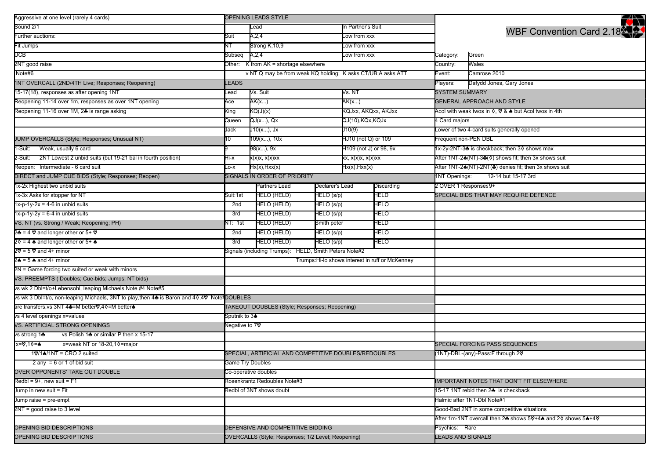| n Partner's Suit<br>Lead<br>WBF Convention Card 2.18<br>A,2,4<br>Suit<br>ow from xxx.<br>Strong K,10,9<br>NT<br>ow from xxx.<br>A, 2, 4<br>Green<br>Subseq<br>Low from xxx<br>Category:<br>Other: K from AK = shortage elsewhere<br>Wales<br>Country:<br>v NT Q may be from weak KQ holding; K asks CT/UB;A asks ATT<br>Note#6<br>Camrose 2010<br>Event:<br><b>EADS</b><br>Dafydd Jones, Gary Jones<br>Players:<br>Vs. Suit<br>Vs. NT<br>SYSTEM SUMMARY<br>.ead<br><b>GENERAL APPROACH AND STYLE</b><br>AK(x)<br>Ace<br>AK(x)<br>KQ(J)(x)<br>KQJxx, AKQxx, AKJxx<br>Acol with weak twos in ♦, ♡ & ▲ but Acol twos in 4th<br>King<br>QJ(x), Qx<br>QJ(10),KQx,KQJx<br>4 Card majors<br>Queen<br>J10(9)<br>J10(x), Jx<br>Lower of two 4-card suits generally opened<br>Jack<br>Frequent non-PEN DBL<br>10<br>109(x), 10x<br>HJ10 (not Q) or 109<br>I-Suit: Weak, usually 6 card<br>1x-2y-2NT-3♣ is checkback; then 30 shows max<br>98(x), 9x<br>H109 (not J) or 98, 9x<br>2NT Lowest 2 unbid suits (but 19-21 bal in fourth position)<br>After 1NT-2♠(NT)-3♣(◊) shows fit; then 3x shows suit<br>xx, x(x)x, x(x)xx<br>Hi-x<br>x(x)x, x(x)xx<br>Reopen: Intermediate - 6 card suit<br>After 1NT-2▲(NT)-2NT(♣) denies fit; then 3x shows suit<br>Hx(x), Hxx(x)<br>Hx(x), Hxx(x)<br>$-0-X$<br>SIGNALS IN ORDER OF PRIORITY<br>1NT Openings:<br>12-14 but 15-17 3rd<br>2 OVER 1 Responses 9+<br>1x-2x Highest two unbid suits<br>Partners Lead<br>Declarer's Lead<br>Discarding<br><b>HELO (HELD)</b><br>HELD<br>SPECIAL BIDS THAT MAY REQUIRE DEFENCE<br>Suit:1st<br>HELO (s/p)<br>HELO (HELD)<br>HELO (s/p)<br>HELO<br>2nd<br><b>HELO (HELD)</b><br>HELO (s/p)<br>HELO<br>3rd<br>VS. NT (vs. Strong / Weak; Reopening; PH)<br>HELO (HELD)<br>Smith peter<br>HELD<br>NT: 1st<br>2 $\triangle$ = 4 $\heartsuit$ and longer other or 5+ $\heartsuit$<br><b>HELO (HELD)</b><br>HELO (s/p)<br>HELO<br>2nd<br>$2\diamond$ = 4 $\spadesuit$ and longer other or 5+ $\spadesuit$<br>HELO (HELD)<br>HELO (s/p)<br>HELO<br>3rd<br>HELD, Smith Peters Note#2<br>Signals (including Trumps):<br>Trumps: Hi-lo shows interest in ruff or McKenney<br>vs wk 3 Dbl=t/o, non-leaping Michaels, 3NT to play, then 44 is Baron and 40,40 Note#DOUBLES<br>TAKEOUT DOUBLES (Style; Responses; Reopening)<br>Sputnik to 34<br>VS. ARTIFICIAL STRONG OPENINGS<br>Negative to 7♡<br>vs Polish 1♣ or similar P then x 15-17<br>SPECIAL FORCING PASS SEQUENCES<br>x=weak NT or 18-20,10=major<br>$1\% / 1\& 1\%$ T = CRO 2 suited<br>(1NT)-DBL-(any)-Pass:F through 2♡<br>SPECIAL, ARTIFICIAL AND COMPETITIVE DOUBLES/REDOUBLES<br>$2$ any = 6 or 1 of bid suit<br>Game Try Doubles<br>Co-operative doubles<br>Rosenkrantz Redoubles Note#3<br><b>IMPORTANT NOTES THAT DON'T FIT ELSEWHERE</b><br>Redbl of 3NT shows doubt<br>15-17 1NT rebid then 2♣ is checkback<br>Halmic after 1NT-Dbl Note#1<br>Good-Bad 2NT in some competitive situations<br>After 1m-1NT overcall then 2♣ shows 5♡+4♠ and 2♦ shows 5♠+4♡<br>DEFENSIVE AND COMPETITIVE BIDDING<br>Psychics: Rare<br><b>LEADS AND SIGNALS</b><br>OVERCALLS (Style; Responses; 1/2 Level; Reopening) | Aggressive at one level (rarely 4 cards)                   | <b>OPENING LEADS STYLE</b> |  |  |  |  | Ŷ |  |
|-----------------------------------------------------------------------------------------------------------------------------------------------------------------------------------------------------------------------------------------------------------------------------------------------------------------------------------------------------------------------------------------------------------------------------------------------------------------------------------------------------------------------------------------------------------------------------------------------------------------------------------------------------------------------------------------------------------------------------------------------------------------------------------------------------------------------------------------------------------------------------------------------------------------------------------------------------------------------------------------------------------------------------------------------------------------------------------------------------------------------------------------------------------------------------------------------------------------------------------------------------------------------------------------------------------------------------------------------------------------------------------------------------------------------------------------------------------------------------------------------------------------------------------------------------------------------------------------------------------------------------------------------------------------------------------------------------------------------------------------------------------------------------------------------------------------------------------------------------------------------------------------------------------------------------------------------------------------------------------------------------------------------------------------------------------------------------------------------------------------------------------------------------------------------------------------------------------------------------------------------------------------------------------------------------------------------------------------------------------------------------------------------------------------------------------------------------------------------------------------------------------------------------------------------------------------------------------------------------------------------------------------------------------------------------------------------------------------------------------------------------------------------------------------------------------------------------------------------------------------------------------------------------------------------------------------------------------------------------------------------------------------------------------------------------------------------------------------------------------------------------|------------------------------------------------------------|----------------------------|--|--|--|--|---|--|
|                                                                                                                                                                                                                                                                                                                                                                                                                                                                                                                                                                                                                                                                                                                                                                                                                                                                                                                                                                                                                                                                                                                                                                                                                                                                                                                                                                                                                                                                                                                                                                                                                                                                                                                                                                                                                                                                                                                                                                                                                                                                                                                                                                                                                                                                                                                                                                                                                                                                                                                                                                                                                                                                                                                                                                                                                                                                                                                                                                                                                                                                                                                             | Sound 2/1                                                  |                            |  |  |  |  |   |  |
|                                                                                                                                                                                                                                                                                                                                                                                                                                                                                                                                                                                                                                                                                                                                                                                                                                                                                                                                                                                                                                                                                                                                                                                                                                                                                                                                                                                                                                                                                                                                                                                                                                                                                                                                                                                                                                                                                                                                                                                                                                                                                                                                                                                                                                                                                                                                                                                                                                                                                                                                                                                                                                                                                                                                                                                                                                                                                                                                                                                                                                                                                                                             | Further auctions:                                          |                            |  |  |  |  |   |  |
|                                                                                                                                                                                                                                                                                                                                                                                                                                                                                                                                                                                                                                                                                                                                                                                                                                                                                                                                                                                                                                                                                                                                                                                                                                                                                                                                                                                                                                                                                                                                                                                                                                                                                                                                                                                                                                                                                                                                                                                                                                                                                                                                                                                                                                                                                                                                                                                                                                                                                                                                                                                                                                                                                                                                                                                                                                                                                                                                                                                                                                                                                                                             | Fit Jumps                                                  |                            |  |  |  |  |   |  |
|                                                                                                                                                                                                                                                                                                                                                                                                                                                                                                                                                                                                                                                                                                                                                                                                                                                                                                                                                                                                                                                                                                                                                                                                                                                                                                                                                                                                                                                                                                                                                                                                                                                                                                                                                                                                                                                                                                                                                                                                                                                                                                                                                                                                                                                                                                                                                                                                                                                                                                                                                                                                                                                                                                                                                                                                                                                                                                                                                                                                                                                                                                                             | UCB                                                        |                            |  |  |  |  |   |  |
|                                                                                                                                                                                                                                                                                                                                                                                                                                                                                                                                                                                                                                                                                                                                                                                                                                                                                                                                                                                                                                                                                                                                                                                                                                                                                                                                                                                                                                                                                                                                                                                                                                                                                                                                                                                                                                                                                                                                                                                                                                                                                                                                                                                                                                                                                                                                                                                                                                                                                                                                                                                                                                                                                                                                                                                                                                                                                                                                                                                                                                                                                                                             | 2NT good raise                                             |                            |  |  |  |  |   |  |
|                                                                                                                                                                                                                                                                                                                                                                                                                                                                                                                                                                                                                                                                                                                                                                                                                                                                                                                                                                                                                                                                                                                                                                                                                                                                                                                                                                                                                                                                                                                                                                                                                                                                                                                                                                                                                                                                                                                                                                                                                                                                                                                                                                                                                                                                                                                                                                                                                                                                                                                                                                                                                                                                                                                                                                                                                                                                                                                                                                                                                                                                                                                             |                                                            |                            |  |  |  |  |   |  |
|                                                                                                                                                                                                                                                                                                                                                                                                                                                                                                                                                                                                                                                                                                                                                                                                                                                                                                                                                                                                                                                                                                                                                                                                                                                                                                                                                                                                                                                                                                                                                                                                                                                                                                                                                                                                                                                                                                                                                                                                                                                                                                                                                                                                                                                                                                                                                                                                                                                                                                                                                                                                                                                                                                                                                                                                                                                                                                                                                                                                                                                                                                                             | 1NT OVERCALL (2ND/4TH Live; Responses; Reopening)          |                            |  |  |  |  |   |  |
|                                                                                                                                                                                                                                                                                                                                                                                                                                                                                                                                                                                                                                                                                                                                                                                                                                                                                                                                                                                                                                                                                                                                                                                                                                                                                                                                                                                                                                                                                                                                                                                                                                                                                                                                                                                                                                                                                                                                                                                                                                                                                                                                                                                                                                                                                                                                                                                                                                                                                                                                                                                                                                                                                                                                                                                                                                                                                                                                                                                                                                                                                                                             | 15-17(18), responses as after opening 1NT                  |                            |  |  |  |  |   |  |
|                                                                                                                                                                                                                                                                                                                                                                                                                                                                                                                                                                                                                                                                                                                                                                                                                                                                                                                                                                                                                                                                                                                                                                                                                                                                                                                                                                                                                                                                                                                                                                                                                                                                                                                                                                                                                                                                                                                                                                                                                                                                                                                                                                                                                                                                                                                                                                                                                                                                                                                                                                                                                                                                                                                                                                                                                                                                                                                                                                                                                                                                                                                             | Reopening 11-14 over 1m, responses as over 1NT opening     |                            |  |  |  |  |   |  |
|                                                                                                                                                                                                                                                                                                                                                                                                                                                                                                                                                                                                                                                                                                                                                                                                                                                                                                                                                                                                                                                                                                                                                                                                                                                                                                                                                                                                                                                                                                                                                                                                                                                                                                                                                                                                                                                                                                                                                                                                                                                                                                                                                                                                                                                                                                                                                                                                                                                                                                                                                                                                                                                                                                                                                                                                                                                                                                                                                                                                                                                                                                                             | Reopening 11-16 over 1M, 2♣ is range asking                |                            |  |  |  |  |   |  |
|                                                                                                                                                                                                                                                                                                                                                                                                                                                                                                                                                                                                                                                                                                                                                                                                                                                                                                                                                                                                                                                                                                                                                                                                                                                                                                                                                                                                                                                                                                                                                                                                                                                                                                                                                                                                                                                                                                                                                                                                                                                                                                                                                                                                                                                                                                                                                                                                                                                                                                                                                                                                                                                                                                                                                                                                                                                                                                                                                                                                                                                                                                                             |                                                            |                            |  |  |  |  |   |  |
|                                                                                                                                                                                                                                                                                                                                                                                                                                                                                                                                                                                                                                                                                                                                                                                                                                                                                                                                                                                                                                                                                                                                                                                                                                                                                                                                                                                                                                                                                                                                                                                                                                                                                                                                                                                                                                                                                                                                                                                                                                                                                                                                                                                                                                                                                                                                                                                                                                                                                                                                                                                                                                                                                                                                                                                                                                                                                                                                                                                                                                                                                                                             |                                                            |                            |  |  |  |  |   |  |
|                                                                                                                                                                                                                                                                                                                                                                                                                                                                                                                                                                                                                                                                                                                                                                                                                                                                                                                                                                                                                                                                                                                                                                                                                                                                                                                                                                                                                                                                                                                                                                                                                                                                                                                                                                                                                                                                                                                                                                                                                                                                                                                                                                                                                                                                                                                                                                                                                                                                                                                                                                                                                                                                                                                                                                                                                                                                                                                                                                                                                                                                                                                             | JUMP OVERCALLS (Style; Responses; Unusual NT)              |                            |  |  |  |  |   |  |
|                                                                                                                                                                                                                                                                                                                                                                                                                                                                                                                                                                                                                                                                                                                                                                                                                                                                                                                                                                                                                                                                                                                                                                                                                                                                                                                                                                                                                                                                                                                                                                                                                                                                                                                                                                                                                                                                                                                                                                                                                                                                                                                                                                                                                                                                                                                                                                                                                                                                                                                                                                                                                                                                                                                                                                                                                                                                                                                                                                                                                                                                                                                             |                                                            |                            |  |  |  |  |   |  |
|                                                                                                                                                                                                                                                                                                                                                                                                                                                                                                                                                                                                                                                                                                                                                                                                                                                                                                                                                                                                                                                                                                                                                                                                                                                                                                                                                                                                                                                                                                                                                                                                                                                                                                                                                                                                                                                                                                                                                                                                                                                                                                                                                                                                                                                                                                                                                                                                                                                                                                                                                                                                                                                                                                                                                                                                                                                                                                                                                                                                                                                                                                                             | 2-Suit:                                                    |                            |  |  |  |  |   |  |
|                                                                                                                                                                                                                                                                                                                                                                                                                                                                                                                                                                                                                                                                                                                                                                                                                                                                                                                                                                                                                                                                                                                                                                                                                                                                                                                                                                                                                                                                                                                                                                                                                                                                                                                                                                                                                                                                                                                                                                                                                                                                                                                                                                                                                                                                                                                                                                                                                                                                                                                                                                                                                                                                                                                                                                                                                                                                                                                                                                                                                                                                                                                             |                                                            |                            |  |  |  |  |   |  |
|                                                                                                                                                                                                                                                                                                                                                                                                                                                                                                                                                                                                                                                                                                                                                                                                                                                                                                                                                                                                                                                                                                                                                                                                                                                                                                                                                                                                                                                                                                                                                                                                                                                                                                                                                                                                                                                                                                                                                                                                                                                                                                                                                                                                                                                                                                                                                                                                                                                                                                                                                                                                                                                                                                                                                                                                                                                                                                                                                                                                                                                                                                                             | DIRECT and JUMP CUE BIDS (Style; Responses; Reopen)        |                            |  |  |  |  |   |  |
|                                                                                                                                                                                                                                                                                                                                                                                                                                                                                                                                                                                                                                                                                                                                                                                                                                                                                                                                                                                                                                                                                                                                                                                                                                                                                                                                                                                                                                                                                                                                                                                                                                                                                                                                                                                                                                                                                                                                                                                                                                                                                                                                                                                                                                                                                                                                                                                                                                                                                                                                                                                                                                                                                                                                                                                                                                                                                                                                                                                                                                                                                                                             |                                                            |                            |  |  |  |  |   |  |
|                                                                                                                                                                                                                                                                                                                                                                                                                                                                                                                                                                                                                                                                                                                                                                                                                                                                                                                                                                                                                                                                                                                                                                                                                                                                                                                                                                                                                                                                                                                                                                                                                                                                                                                                                                                                                                                                                                                                                                                                                                                                                                                                                                                                                                                                                                                                                                                                                                                                                                                                                                                                                                                                                                                                                                                                                                                                                                                                                                                                                                                                                                                             | 1x-3x Asks for stopper for NT                              |                            |  |  |  |  |   |  |
|                                                                                                                                                                                                                                                                                                                                                                                                                                                                                                                                                                                                                                                                                                                                                                                                                                                                                                                                                                                                                                                                                                                                                                                                                                                                                                                                                                                                                                                                                                                                                                                                                                                                                                                                                                                                                                                                                                                                                                                                                                                                                                                                                                                                                                                                                                                                                                                                                                                                                                                                                                                                                                                                                                                                                                                                                                                                                                                                                                                                                                                                                                                             | $1x-p-1y-2x = 4-6$ in unbid suits                          |                            |  |  |  |  |   |  |
|                                                                                                                                                                                                                                                                                                                                                                                                                                                                                                                                                                                                                                                                                                                                                                                                                                                                                                                                                                                                                                                                                                                                                                                                                                                                                                                                                                                                                                                                                                                                                                                                                                                                                                                                                                                                                                                                                                                                                                                                                                                                                                                                                                                                                                                                                                                                                                                                                                                                                                                                                                                                                                                                                                                                                                                                                                                                                                                                                                                                                                                                                                                             | $1x-p-1y-2y = 6-4$ in unbid suits                          |                            |  |  |  |  |   |  |
|                                                                                                                                                                                                                                                                                                                                                                                                                                                                                                                                                                                                                                                                                                                                                                                                                                                                                                                                                                                                                                                                                                                                                                                                                                                                                                                                                                                                                                                                                                                                                                                                                                                                                                                                                                                                                                                                                                                                                                                                                                                                                                                                                                                                                                                                                                                                                                                                                                                                                                                                                                                                                                                                                                                                                                                                                                                                                                                                                                                                                                                                                                                             |                                                            |                            |  |  |  |  |   |  |
|                                                                                                                                                                                                                                                                                                                                                                                                                                                                                                                                                                                                                                                                                                                                                                                                                                                                                                                                                                                                                                                                                                                                                                                                                                                                                                                                                                                                                                                                                                                                                                                                                                                                                                                                                                                                                                                                                                                                                                                                                                                                                                                                                                                                                                                                                                                                                                                                                                                                                                                                                                                                                                                                                                                                                                                                                                                                                                                                                                                                                                                                                                                             |                                                            |                            |  |  |  |  |   |  |
|                                                                                                                                                                                                                                                                                                                                                                                                                                                                                                                                                                                                                                                                                                                                                                                                                                                                                                                                                                                                                                                                                                                                                                                                                                                                                                                                                                                                                                                                                                                                                                                                                                                                                                                                                                                                                                                                                                                                                                                                                                                                                                                                                                                                                                                                                                                                                                                                                                                                                                                                                                                                                                                                                                                                                                                                                                                                                                                                                                                                                                                                                                                             |                                                            |                            |  |  |  |  |   |  |
|                                                                                                                                                                                                                                                                                                                                                                                                                                                                                                                                                                                                                                                                                                                                                                                                                                                                                                                                                                                                                                                                                                                                                                                                                                                                                                                                                                                                                                                                                                                                                                                                                                                                                                                                                                                                                                                                                                                                                                                                                                                                                                                                                                                                                                                                                                                                                                                                                                                                                                                                                                                                                                                                                                                                                                                                                                                                                                                                                                                                                                                                                                                             | 2♡ = 5 ♡ and 4+ minor                                      |                            |  |  |  |  |   |  |
|                                                                                                                                                                                                                                                                                                                                                                                                                                                                                                                                                                                                                                                                                                                                                                                                                                                                                                                                                                                                                                                                                                                                                                                                                                                                                                                                                                                                                                                                                                                                                                                                                                                                                                                                                                                                                                                                                                                                                                                                                                                                                                                                                                                                                                                                                                                                                                                                                                                                                                                                                                                                                                                                                                                                                                                                                                                                                                                                                                                                                                                                                                                             | 2♠ = 5 ♠ and 4+ minor                                      |                            |  |  |  |  |   |  |
|                                                                                                                                                                                                                                                                                                                                                                                                                                                                                                                                                                                                                                                                                                                                                                                                                                                                                                                                                                                                                                                                                                                                                                                                                                                                                                                                                                                                                                                                                                                                                                                                                                                                                                                                                                                                                                                                                                                                                                                                                                                                                                                                                                                                                                                                                                                                                                                                                                                                                                                                                                                                                                                                                                                                                                                                                                                                                                                                                                                                                                                                                                                             | 2N = Game forcing two suited or weak with minors           |                            |  |  |  |  |   |  |
|                                                                                                                                                                                                                                                                                                                                                                                                                                                                                                                                                                                                                                                                                                                                                                                                                                                                                                                                                                                                                                                                                                                                                                                                                                                                                                                                                                                                                                                                                                                                                                                                                                                                                                                                                                                                                                                                                                                                                                                                                                                                                                                                                                                                                                                                                                                                                                                                                                                                                                                                                                                                                                                                                                                                                                                                                                                                                                                                                                                                                                                                                                                             | VS. PREEMPTS (Doubles; Cue-bids; Jumps; NT bids)           |                            |  |  |  |  |   |  |
|                                                                                                                                                                                                                                                                                                                                                                                                                                                                                                                                                                                                                                                                                                                                                                                                                                                                                                                                                                                                                                                                                                                                                                                                                                                                                                                                                                                                                                                                                                                                                                                                                                                                                                                                                                                                                                                                                                                                                                                                                                                                                                                                                                                                                                                                                                                                                                                                                                                                                                                                                                                                                                                                                                                                                                                                                                                                                                                                                                                                                                                                                                                             | vs wk 2 Dbl=t/o+Lebensohl, leaping Michaels Note #4 Note#5 |                            |  |  |  |  |   |  |
|                                                                                                                                                                                                                                                                                                                                                                                                                                                                                                                                                                                                                                                                                                                                                                                                                                                                                                                                                                                                                                                                                                                                                                                                                                                                                                                                                                                                                                                                                                                                                                                                                                                                                                                                                                                                                                                                                                                                                                                                                                                                                                                                                                                                                                                                                                                                                                                                                                                                                                                                                                                                                                                                                                                                                                                                                                                                                                                                                                                                                                                                                                                             |                                                            |                            |  |  |  |  |   |  |
|                                                                                                                                                                                                                                                                                                                                                                                                                                                                                                                                                                                                                                                                                                                                                                                                                                                                                                                                                                                                                                                                                                                                                                                                                                                                                                                                                                                                                                                                                                                                                                                                                                                                                                                                                                                                                                                                                                                                                                                                                                                                                                                                                                                                                                                                                                                                                                                                                                                                                                                                                                                                                                                                                                                                                                                                                                                                                                                                                                                                                                                                                                                             | are transfers, vs 3NT 4♣=M better♡, 4 0=M better▲          |                            |  |  |  |  |   |  |
|                                                                                                                                                                                                                                                                                                                                                                                                                                                                                                                                                                                                                                                                                                                                                                                                                                                                                                                                                                                                                                                                                                                                                                                                                                                                                                                                                                                                                                                                                                                                                                                                                                                                                                                                                                                                                                                                                                                                                                                                                                                                                                                                                                                                                                                                                                                                                                                                                                                                                                                                                                                                                                                                                                                                                                                                                                                                                                                                                                                                                                                                                                                             | vs 4 level openings x=values                               |                            |  |  |  |  |   |  |
|                                                                                                                                                                                                                                                                                                                                                                                                                                                                                                                                                                                                                                                                                                                                                                                                                                                                                                                                                                                                                                                                                                                                                                                                                                                                                                                                                                                                                                                                                                                                                                                                                                                                                                                                                                                                                                                                                                                                                                                                                                                                                                                                                                                                                                                                                                                                                                                                                                                                                                                                                                                                                                                                                                                                                                                                                                                                                                                                                                                                                                                                                                                             |                                                            |                            |  |  |  |  |   |  |
|                                                                                                                                                                                                                                                                                                                                                                                                                                                                                                                                                                                                                                                                                                                                                                                                                                                                                                                                                                                                                                                                                                                                                                                                                                                                                                                                                                                                                                                                                                                                                                                                                                                                                                                                                                                                                                                                                                                                                                                                                                                                                                                                                                                                                                                                                                                                                                                                                                                                                                                                                                                                                                                                                                                                                                                                                                                                                                                                                                                                                                                                                                                             | vs strong 1♣                                               |                            |  |  |  |  |   |  |
|                                                                                                                                                                                                                                                                                                                                                                                                                                                                                                                                                                                                                                                                                                                                                                                                                                                                                                                                                                                                                                                                                                                                                                                                                                                                                                                                                                                                                                                                                                                                                                                                                                                                                                                                                                                                                                                                                                                                                                                                                                                                                                                                                                                                                                                                                                                                                                                                                                                                                                                                                                                                                                                                                                                                                                                                                                                                                                                                                                                                                                                                                                                             | $x=0,10=$                                                  |                            |  |  |  |  |   |  |
|                                                                                                                                                                                                                                                                                                                                                                                                                                                                                                                                                                                                                                                                                                                                                                                                                                                                                                                                                                                                                                                                                                                                                                                                                                                                                                                                                                                                                                                                                                                                                                                                                                                                                                                                                                                                                                                                                                                                                                                                                                                                                                                                                                                                                                                                                                                                                                                                                                                                                                                                                                                                                                                                                                                                                                                                                                                                                                                                                                                                                                                                                                                             |                                                            |                            |  |  |  |  |   |  |
|                                                                                                                                                                                                                                                                                                                                                                                                                                                                                                                                                                                                                                                                                                                                                                                                                                                                                                                                                                                                                                                                                                                                                                                                                                                                                                                                                                                                                                                                                                                                                                                                                                                                                                                                                                                                                                                                                                                                                                                                                                                                                                                                                                                                                                                                                                                                                                                                                                                                                                                                                                                                                                                                                                                                                                                                                                                                                                                                                                                                                                                                                                                             |                                                            |                            |  |  |  |  |   |  |
|                                                                                                                                                                                                                                                                                                                                                                                                                                                                                                                                                                                                                                                                                                                                                                                                                                                                                                                                                                                                                                                                                                                                                                                                                                                                                                                                                                                                                                                                                                                                                                                                                                                                                                                                                                                                                                                                                                                                                                                                                                                                                                                                                                                                                                                                                                                                                                                                                                                                                                                                                                                                                                                                                                                                                                                                                                                                                                                                                                                                                                                                                                                             | OVER OPPONENTS' TAKE OUT DOUBLE                            |                            |  |  |  |  |   |  |
|                                                                                                                                                                                                                                                                                                                                                                                                                                                                                                                                                                                                                                                                                                                                                                                                                                                                                                                                                                                                                                                                                                                                                                                                                                                                                                                                                                                                                                                                                                                                                                                                                                                                                                                                                                                                                                                                                                                                                                                                                                                                                                                                                                                                                                                                                                                                                                                                                                                                                                                                                                                                                                                                                                                                                                                                                                                                                                                                                                                                                                                                                                                             | Redbl = 9+, new suit = F1                                  |                            |  |  |  |  |   |  |
|                                                                                                                                                                                                                                                                                                                                                                                                                                                                                                                                                                                                                                                                                                                                                                                                                                                                                                                                                                                                                                                                                                                                                                                                                                                                                                                                                                                                                                                                                                                                                                                                                                                                                                                                                                                                                                                                                                                                                                                                                                                                                                                                                                                                                                                                                                                                                                                                                                                                                                                                                                                                                                                                                                                                                                                                                                                                                                                                                                                                                                                                                                                             | Jump in new suit = Fit                                     |                            |  |  |  |  |   |  |
|                                                                                                                                                                                                                                                                                                                                                                                                                                                                                                                                                                                                                                                                                                                                                                                                                                                                                                                                                                                                                                                                                                                                                                                                                                                                                                                                                                                                                                                                                                                                                                                                                                                                                                                                                                                                                                                                                                                                                                                                                                                                                                                                                                                                                                                                                                                                                                                                                                                                                                                                                                                                                                                                                                                                                                                                                                                                                                                                                                                                                                                                                                                             | Jump raise = pre-empt                                      |                            |  |  |  |  |   |  |
|                                                                                                                                                                                                                                                                                                                                                                                                                                                                                                                                                                                                                                                                                                                                                                                                                                                                                                                                                                                                                                                                                                                                                                                                                                                                                                                                                                                                                                                                                                                                                                                                                                                                                                                                                                                                                                                                                                                                                                                                                                                                                                                                                                                                                                                                                                                                                                                                                                                                                                                                                                                                                                                                                                                                                                                                                                                                                                                                                                                                                                                                                                                             | 2NT = good raise to 3 level                                |                            |  |  |  |  |   |  |
|                                                                                                                                                                                                                                                                                                                                                                                                                                                                                                                                                                                                                                                                                                                                                                                                                                                                                                                                                                                                                                                                                                                                                                                                                                                                                                                                                                                                                                                                                                                                                                                                                                                                                                                                                                                                                                                                                                                                                                                                                                                                                                                                                                                                                                                                                                                                                                                                                                                                                                                                                                                                                                                                                                                                                                                                                                                                                                                                                                                                                                                                                                                             |                                                            |                            |  |  |  |  |   |  |
|                                                                                                                                                                                                                                                                                                                                                                                                                                                                                                                                                                                                                                                                                                                                                                                                                                                                                                                                                                                                                                                                                                                                                                                                                                                                                                                                                                                                                                                                                                                                                                                                                                                                                                                                                                                                                                                                                                                                                                                                                                                                                                                                                                                                                                                                                                                                                                                                                                                                                                                                                                                                                                                                                                                                                                                                                                                                                                                                                                                                                                                                                                                             | OPENING BID DESCRIPTIONS                                   |                            |  |  |  |  |   |  |
|                                                                                                                                                                                                                                                                                                                                                                                                                                                                                                                                                                                                                                                                                                                                                                                                                                                                                                                                                                                                                                                                                                                                                                                                                                                                                                                                                                                                                                                                                                                                                                                                                                                                                                                                                                                                                                                                                                                                                                                                                                                                                                                                                                                                                                                                                                                                                                                                                                                                                                                                                                                                                                                                                                                                                                                                                                                                                                                                                                                                                                                                                                                             | OPENING BID DESCRIPTIONS                                   |                            |  |  |  |  |   |  |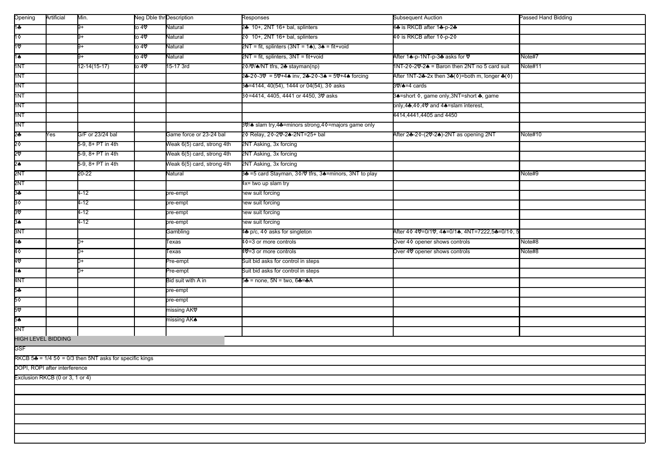| Opening                         | Artificial | Min.                                                                         | Neg Dble thr Description |                            | Responses                                                              | <b>Subsequent Auction</b>                              | Passed Hand Bidding |
|---------------------------------|------------|------------------------------------------------------------------------------|--------------------------|----------------------------|------------------------------------------------------------------------|--------------------------------------------------------|---------------------|
| $1\clubsuit$                    |            | 9+                                                                           | to 4♡                    | Natural                    | 24 10+, 2NT 16+ bal, splinters                                         | 4♣ is RKCB after 1♣-p-2♣                               |                     |
| 10                              |            | 9+                                                                           | to 4V                    | Natural                    | 20 10+, 2NT 16+ bal, splinters<br>4♦ is RKCB after 1♦-p-2♦             |                                                        |                     |
| 1V                              |            | 9+                                                                           | to 40                    | Natural                    | 2NT = fit, splinters (3NT = 1♠), 3♠ = fit+void                         |                                                        |                     |
| 1 $\bullet$                     |            | 9+                                                                           | to 4V                    | Natural                    | 2NT = fit, splinters, 3NT = fit+void<br>After 1♠-p-1NT-p-3♣ asks for ♡ |                                                        | Note#7              |
| 1NT                             |            | $12 - 14(15 - 17)$                                                           | to 4V                    | 15-17 3rd                  | 2♦/♥/♠/NT tfrs, 2♣ stayman(np)                                         | 1NT-20-20-24 = Baron then 2NT no 5 card suit           | Note#11             |
| 1NT                             |            |                                                                              |                          |                            | 2♣-2◊-3♡ = 5♡+4♠ inv, 2♣-2◊-3♠ = 5♡+4♠ forcing                         | After 1NT-2♣-2x then 3♣(◊)=both m, longer ♣(◊)         |                     |
| 1NT                             |            |                                                                              |                          |                            | 3♣=4144, 40(54), 1444 or 04(54), 3♦ asks                               | 3 <b>♡/♠</b> =4 cards                                  |                     |
| 1NT                             |            |                                                                              |                          |                            | 3♦=4414, 4405, 4441 or 4450, 3♥ asks                                   | 3 <sup>4</sup> = short ♦, game only, 3NT=short 4, game |                     |
| 1NT                             |            |                                                                              |                          |                            |                                                                        | only,4♣,4♦,4♦ and 4♠=slam interest,                    |                     |
| 1NT                             |            |                                                                              |                          |                            |                                                                        | 4414,4441,4405 and 4450                                |                     |
| 1NT                             |            |                                                                              |                          |                            | 3♡/▲ slam try,4♣=minors strong,4♦=majors game only                     |                                                        |                     |
| 2÷                              | Yes        | G/F or 23/24 bal                                                             |                          | Game force or 23-24 bal    | 2♦ Relay, 2♦-2♥-2♣-2NT=25+ bal                                         | After 2♣-2♦-(2♡-2♠)-2NT as opening 2NT                 | Note#10             |
| 20                              |            | 5-9, 8+ PT in 4th                                                            |                          | Weak 6(5) card, strong 4th | 2NT Asking, 3x forcing                                                 |                                                        |                     |
| 2¢                              |            | 5-9, 8+ PT in 4th                                                            |                          | Weak 6(5) card, strong 4th | 2NT Asking, 3x forcing                                                 |                                                        |                     |
| 2♠                              |            | 5-9, 8+ PT in 4th                                                            |                          | Weak 6(5) card, strong 4th | 2NT Asking, 3x forcing                                                 |                                                        |                     |
| 2NT                             |            | $20 - 22$                                                                    |                          | Natural                    | 3♣ =5 card Stayman, 30/♡ tfrs, 3♠=minors, 3NT to play                  |                                                        | Note#9              |
| 2NT                             |            |                                                                              |                          |                            | 4x= two up slam try                                                    |                                                        |                     |
| 3♣                              |            | 4-12                                                                         |                          | pre-empt                   | new suit forcing                                                       |                                                        |                     |
| 30                              |            | 4-12                                                                         |                          | pre-empt                   | new suit forcing                                                       |                                                        |                     |
| 30                              |            | $4 - 12$                                                                     |                          | pre-empt                   | new suit forcing                                                       |                                                        |                     |
| 3♠                              |            | 4-12                                                                         |                          | pre-empt                   | new suit forcing                                                       |                                                        |                     |
| 3NT                             |            |                                                                              |                          | Gambling                   | 4♣ p/c, 4♦ asks for singleton                                          | After 4♦ 4❤=0/1❤, 4♠=0/1♠, 4NT=7222,5♣=0/1♦, 5         |                     |
| 4♣                              |            | 0+                                                                           |                          | Texas                      | 40=3 or more controls                                                  | Over 4 opener shows controls                           | Note#8              |
| 4♦                              |            | 0+                                                                           |                          | Гехаѕ                      | 40=3 or more controls                                                  | Over 4V opener shows controls                          | Note#8              |
| 4♡                              |            | -0                                                                           |                          | Pre-empt                   | Suit bid asks for control in steps                                     |                                                        |                     |
| 4♠                              |            | 0+                                                                           |                          | Pre-empt                   | Suit bid asks for control in steps                                     |                                                        |                     |
| 4NT                             |            |                                                                              |                          | Bid suit with A in         | 5♣ = none, 5N = two, 6♣=♣A                                             |                                                        |                     |
| 5♣                              |            |                                                                              |                          | pre-empt                   |                                                                        |                                                        |                     |
| 5♦                              |            |                                                                              |                          | pre-empt                   |                                                                        |                                                        |                     |
| 5⊽                              |            |                                                                              |                          | missing AK♡                |                                                                        |                                                        |                     |
| 5♠                              |            |                                                                              |                          | missing AK♠                |                                                                        |                                                        |                     |
| 5NT                             |            |                                                                              |                          |                            |                                                                        |                                                        |                     |
| <b>HIGH LEVEL BIDDING</b>       |            |                                                                              |                          |                            |                                                                        |                                                        |                     |
| <b>GSF</b>                      |            |                                                                              |                          |                            |                                                                        |                                                        |                     |
|                                 |            | RKCB 5 $\clubsuit$ = 1/4 5 $\lozenge$ = 0/3 then 5NT asks for specific kings |                          |                            |                                                                        |                                                        |                     |
| DOPI, ROPI after interference   |            |                                                                              |                          |                            |                                                                        |                                                        |                     |
| Exclusion RKCB (0 or 3, 1 or 4) |            |                                                                              |                          |                            |                                                                        |                                                        |                     |
|                                 |            |                                                                              |                          |                            |                                                                        |                                                        |                     |
|                                 |            |                                                                              |                          |                            |                                                                        |                                                        |                     |
|                                 |            |                                                                              |                          |                            |                                                                        |                                                        |                     |
|                                 |            |                                                                              |                          |                            |                                                                        |                                                        |                     |
|                                 |            |                                                                              |                          |                            |                                                                        |                                                        |                     |
|                                 |            |                                                                              |                          |                            |                                                                        |                                                        |                     |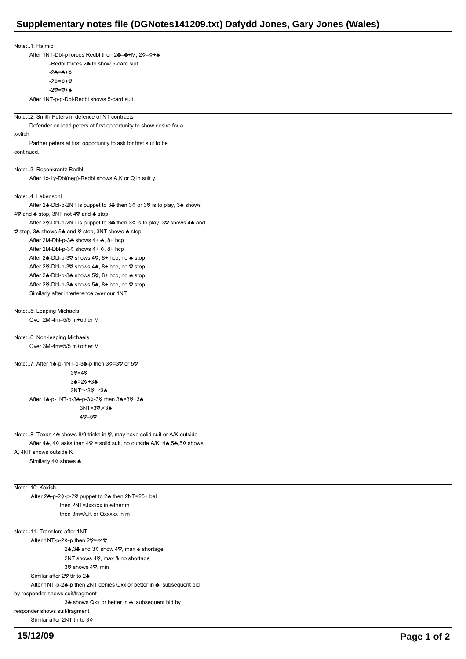## **Supplementary notes file (DGNotes141209.txt) Dafydd Jones, Gary Jones (Wales)**

|            | Note:1: Halmic                                                                       |
|------------|--------------------------------------------------------------------------------------|
|            | After 1NT-Dbl-p forces Redbl then 2♣=♣+M, 2◊=◊+♠                                     |
|            | -Redbl forces 24 to show 5-card suit                                                 |
|            |                                                                                      |
|            | $-2 - - + 0$                                                                         |
|            | $-20=0+0$                                                                            |
|            | $-20=0+A$                                                                            |
|            | After 1NT-p-p-Dbl-Redbl shows 5-card suit.                                           |
|            | Note:2: Smith Peters in defence of NT contracts                                      |
|            | Defender on lead peters at first opportunity to show desire for a                    |
| switch     |                                                                                      |
|            | Partner peters at first opportunity to ask for first suit to be                      |
| continued. |                                                                                      |
|            |                                                                                      |
|            | Note3: Rosenkrantz Redbl                                                             |
|            | After 1x-1y-Dbl(neg)-Redbl shows A,K or Q in suit y.                                 |
|            | Note4: Lebensohl                                                                     |
|            | After 24-Dbl-p-2NT is puppet to 34 then 30 or 3♡ is to play, 34 shows                |
|            | 4♡ and ▲ stop, 3NT not 4♡ and ▲ stop                                                 |
|            | After 200-Dbl-p-2NT is puppet to 3 then 3 o is to play, 3 \to shows 4 \to and        |
|            | ♡ stop, 34 shows 54 and ♡ stop, 3NT shows 4 stop                                     |
|            | After 2M-Dbl-p-3♣ shows 4+ ♣, 8+ hcp                                                 |
|            |                                                                                      |
|            | After 2M-Dbl-p-3 $\lozenge$ shows 4+ $\lozenge$ , 8+ hcp                             |
|            | After 2▲-Dbl-p-3♡ shows 4♡, 8+ hcp, no ▲ stop                                        |
|            | After 2♡-Dbl-p-3♡ shows 4▲, 8+ hcp, no ♡ stop                                        |
|            | After 2▲-Dbl-p-3▲ shows 5♡, 8+ hcp, no ▲ stop                                        |
|            | After 2♡-Dbl-p-3▲ shows 5▲, 8+ hcp, no ♡ stop                                        |
|            | Similarly after interference over our 1NT                                            |
|            | Note:5: Leaping Michaels                                                             |
|            | Over 2M-4m=5/5 m+other M                                                             |
|            |                                                                                      |
|            | Note:6: Non-leaping Michaels                                                         |
|            | Over 3M-4m=5/5 m+other M                                                             |
|            |                                                                                      |
|            |                                                                                      |
|            | Note:7: After 1▲-p-1NT-p-3♣-p then 30=30 or 50                                       |
|            | $30 = 40$                                                                            |
|            | $34 = 20 + 34$                                                                       |
|            | $3NT = < 30, < 3$                                                                    |
|            | After 14-p-1NT-p-34-p-30-30 then 34=30+34                                            |
|            | $3NT = 30, 30$                                                                       |
|            | $40 = 50$                                                                            |
|            |                                                                                      |
|            | Note8: Texas 4 shows 8/9 tricks in $\heartsuit$ , may have solid suit or A/K outside |
|            | After 44, 40 asks then $4\heartsuit$ = solid suit, no outside A/K, 44, 54, 50 shows  |
|            | A, 4NT shows outside K                                                               |
|            | Similarly 4♦ shows ♦                                                                 |
|            |                                                                                      |
|            |                                                                                      |
|            | Note:10: Kokish                                                                      |
|            | After 24-p-20-p-20 puppet to 24 then 2NT=25+ bal                                     |
|            | then 2NT=Jxxxxx in either m                                                          |
|            | then 3m=A,K or Qxxxxx in m                                                           |
|            |                                                                                      |
|            | Note11: Transfers after 1NT                                                          |
|            | After 1NT-p-20-p then 20=<40                                                         |
|            | 2▲,3♣ and 3♦ show 4♡, max & shortage                                                 |
|            | 2NT shows 4V, max & no shortage                                                      |
|            | 3V shows 4V, min                                                                     |
|            | Similar after 2♡ tfr to 2▲                                                           |
|            |                                                                                      |
|            | After 1NT-p-24-p then 2NT denies Qxx or better in 4, subsequent bid                  |
|            | by responder shows suit/fragment                                                     |
|            | 34 shows Qxx or better in 4, subsequent bid by                                       |
|            | responder shows suit/fragment                                                        |
|            | Similar after 2NT tfr to 30                                                          |